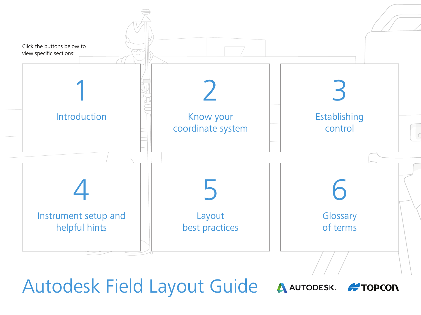<span id="page-0-0"></span>

Autodesk Field Layout Guide

A AUTODESK. **#TOPCON**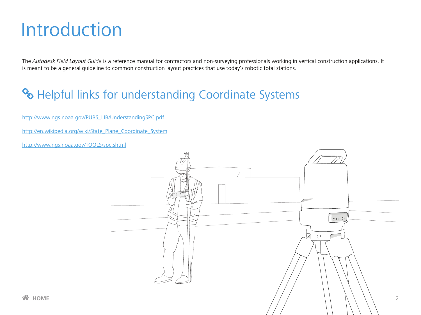## <span id="page-1-0"></span>Introduction

The Autodesk Field Layout Guide is a reference manual for contractors and non-surveying professionals working in vertical construction applications. It is meant to be a general guideline to common construction layout practices that use today's robotic total stations.

## **& Helpful links for understanding Coordinate Systems**

[http://www.ngs.noaa.gov/PUBS\\_LIB/UnderstandingSPC.pdf](http://www.ngs.noaa.gov/PUBS_LIB/UnderstandingSPC.pdf)

[http://en.wikipedia.org/wiki/State\\_Plane\\_Coordinate\\_System](http://en.wikipedia.org/wiki/State_Plane_Coordinate_System)

<http://www.ngs.noaa.gov/TOOLS/spc.shtml>

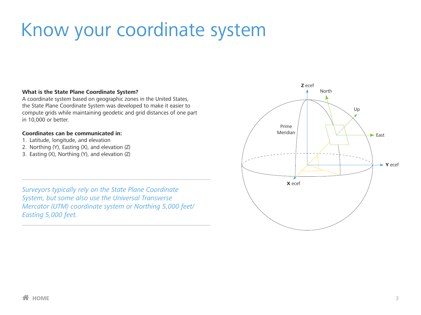# <span id="page-2-0"></span>Know your coordinate system

#### **What is the State Plane Coordinate System?**

A coordinate system based on geographic zones in the United States, the State Plane Coordinate System was developed to make it easier to compute grids while maintaining geodetic and grid distances of one part in 10,000 or better.

#### **Coordinates can be communicated in:**

- 1. Latitude, longitude, and elevation
- 2. Northing (Y), Easting (X), and elevation (Z)
- 3. Easting (X), Northing (Y), and elevation (Z)

*Surveyors typically rely on the State Plane Coordinate System, but some also use the Universal Transverse Mercator (UTM) coordinate system or Northing 5,000 feet/ Easting 5,000 feet.*

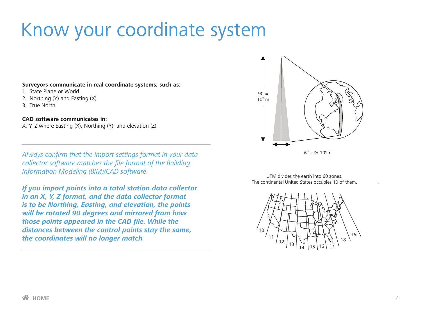# Know your coordinate system

#### **Surveyors communicate in real coordinate systems, such as:**

- 1. State Plane or World
- 2. Northing (Y) and Easting (X)
- 3. True North

#### **CAD software communicates in:**

X, Y, Z where Easting (X), Northing (Y), and elevation (Z)

*Always confirm that the import settings format in your data collector software matches the file format of the Building Information Modeling (BIM)/CAD software.*

*If you import points into a total station data collector in an X, Y, Z format, and the data collector format is to be Northing, Easting, and elevation, the points will be rotated 90 degrees and mirrored from how those points appeared in the CAD file. While the distances between the control points stay the same, the coordinates will no longer match.*



UTM divides the earth into 60 zones. The continental United States occupies 10 of them.



.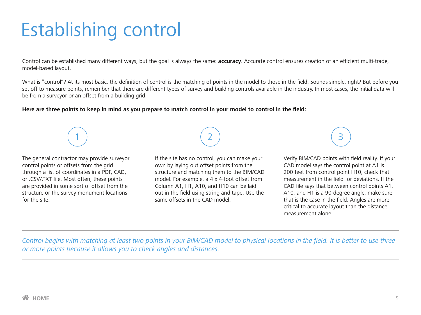# <span id="page-4-0"></span>Establishing control

Control can be established many different ways, but the goal is always the same: **accuracy**. Accurate control ensures creation of an efficient multi-trade, model‑based layout.

What is "control"? At its most basic, the definition of control is the matching of points in the model to those in the field. Sounds simple, right? But before you set off to measure points, remember that there are different types of survey and building controls available in the industry. In most cases, the initial data will be from a surveyor or an offset from a building grid.

#### **Here are three points to keep in mind as you prepare to match control in your model to control in the field:**

The general contractor may provide surveyor control points or offsets from the grid through a list of coordinates in a PDF, CAD, or .CSV/.TXT file. Most often, these points are provided in some sort of offset from the structure or the survey monument locations for the site.

1

If the site has no control, you can make your own by laying out offset points from the structure and matching them to the BIM/CAD model. For example, a 4 x 4-foot offset from Column A1, H1, A10, and H10 can be laid out in the field using string and tape. Use the same offsets in the CAD model.

2

3

Verify BIM/CAD points with field reality. If your CAD model says the control point at A1 is 200 feet from control point H10, check that measurement in the field for deviations. If the CAD file says that between control points A1, A10, and H1 is a 90-degree angle, make sure that is the case in the field. Angles are more critical to accurate layout than the distance measurement alone.

*Control begins with matching at least two points in your BIM/CAD model to physical locations in the field. It is better to use three or more points because it allows you to check angles and distances.*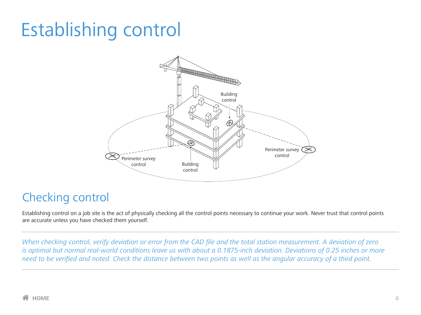# Establishing control



## Checking control

Establishing control on a job site is the act of physically checking all the control points necessary to continue your work. Never trust that control points are accurate unless you have checked them yourself.

*When checking control, verify deviation or error from the CAD file and the total station measurement. A deviation of zero is optimal but normal real‑world conditions leave us with about a 0.1875‑inch deviation. Deviations of 0.25 inches or more need to be verified and noted. Check the distance between two points as well as the angular accuracy of a third point.*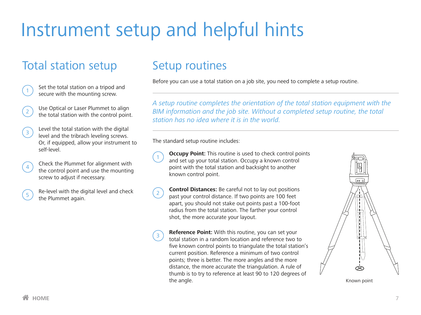# <span id="page-6-0"></span>Instrument setup and helpful hints

## Total station setup

| $\begin{array}{\begin{array}{c}\n\text{3} \\ \text{4} \\ \text{5} \\ \text{6}\n\end{array}$ Set the total station on a tripod and secure with the mounting screw. |
|-------------------------------------------------------------------------------------------------------------------------------------------------------------------|
|                                                                                                                                                                   |

- Use Optical or Laser Plummet to align the total station with the control point.
- $\widehat{3}$  Level the total station with the digital level and the tribrach leveling screws. Or, if equipped, allow your instrument to self-level.
- <sup>4</sup> Check the Plummet for alignment with the control point and use the mounting screw to adjust if necessary.
- 

<sup>5</sup> Re-level with the digital level and check the Plummet again.

## Setup routines

Before you can use a total station on a job site, you need to complete a setup routine.

*A setup routine completes the orientation of the total station equipment with the BIM information and the job site. Without a completed setup routine, the total station has no idea where it is in the world.* 

The standard setup routine includes:

- **1 Occupy Point:** This routine is used to check control points and set up your total station. Occupy a known control point with the total station and backsight to another known control point.
- **2 Control Distances:** Be careful not to lay out positions past your control distance. If two points are 100 feet apart, you should not stake out points past a 100-foot radius from the total station. The farther your control shot, the more accurate your layout.
- **8 <b>Reference Point:** With this routine, you can set your total station in a random location and reference two to five known control points to triangulate the total station's current position. Reference a minimum of two control points; three is better. The more angles and the more distance, the more accurate the triangulation. A rule of thumb is to try to reference at least 90 to 120 degrees of the angle. The state of the state of the state of the state of the state of the state of the state of the state of the state of the state of the state of the state of the state of the state of the state of the state of the

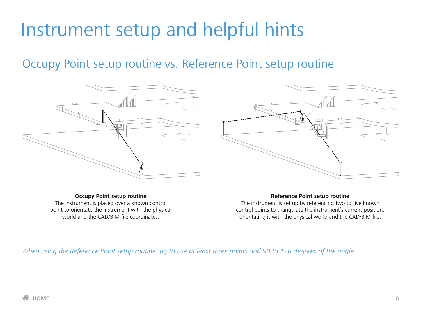## Instrument setup and helpful hints

## Occupy Point setup routine vs. Reference Point setup routine



**Occupy Point setup routine** The instrument is placed over a known control point to orientate the instrument with the physical world and the CAD/BIM file coordinates.



#### **Reference Point setup routine**

The instrument is set up by referencing two to five known control points to triangulate the instrument's current position, orientating it with the physical world and the CAD/BIM file.

*When using the Reference Point setup routine, try to use at least three points and 90 to 120 degrees of the angle.*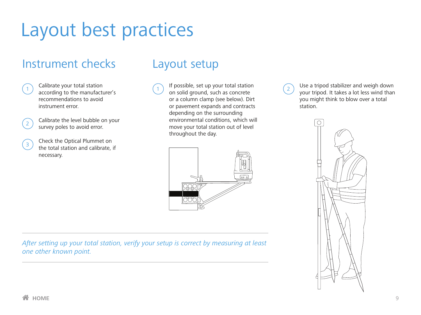# <span id="page-8-0"></span>Layout best practices

## Instrument checks



Calibrate your total station according to the manufacturer's recommendations to avoid instrument error.

| ٠ | i<br>٠ |
|---|--------|

Calibrate the level bubble on your survey poles to avoid error.

3 Check the Optical Plummet on the total station and calibrate, if necessary.

## Layout setup

 $\bigcap_{1}$  If possible, set up your total station on solid ground, such as concrete or a column clamp (see below). Dirt or pavement expands and contracts depending on the surrounding environmental conditions, which will move your total station out of level throughout the day.



*After setting up your total station, verify your setup is correct by measuring at least one other known point.*

 $\Omega$  Use a tripod stabilizer and weigh down your tripod. It takes a lot less wind than you might think to blow over a total station.

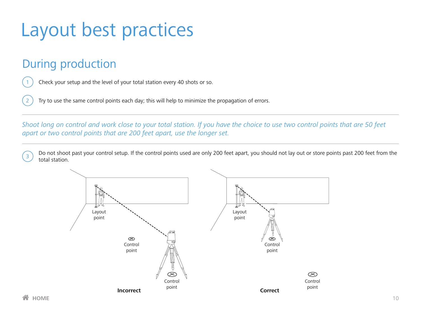# Layout best practices

## During production

Check your setup and the level of your total station every 40 shots or so.

Try to use the same control points each day; this will help to minimize the propagation of errors.

*Shoot long on control and work close to your total station. If you have the choice to use two control points that are 50 feet apart or two control points that are 200 feet apart, use the longer set.*

 $\sqrt{3}$  Do not shoot past your control setup. If the control points used are only 200 feet apart, you should not lay out or store points past 200 feet from the total station.